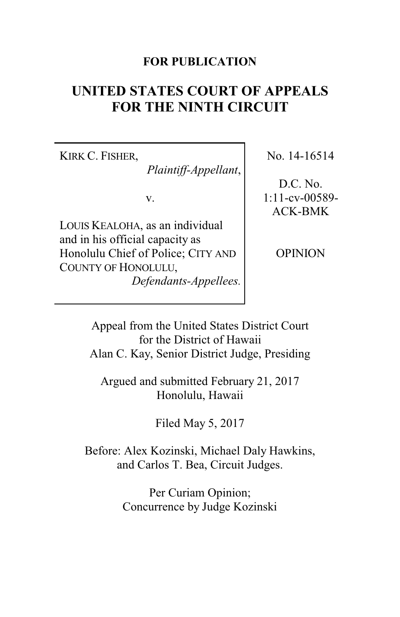### **FOR PUBLICATION**

# **UNITED STATES COURT OF APPEALS FOR THE NINTH CIRCUIT**

KIRK C. FISHER,

*Plaintiff-Appellant*,

v.

LOUIS KEALOHA, as an individual and in his official capacity as Honolulu Chief of Police; CITY AND COUNTY OF HONOLULU, *Defendants-Appellees.* No. 14-16514

D.C. No. 1:11-cv-00589- ACK-BMK

**OPINION** 

Appeal from the United States District Court for the District of Hawaii Alan C. Kay, Senior District Judge, Presiding

Argued and submitted February 21, 2017 Honolulu, Hawaii

Filed May 5, 2017

Before: Alex Kozinski, Michael Daly Hawkins, and Carlos T. Bea, Circuit Judges.

> Per Curiam Opinion; Concurrence by Judge Kozinski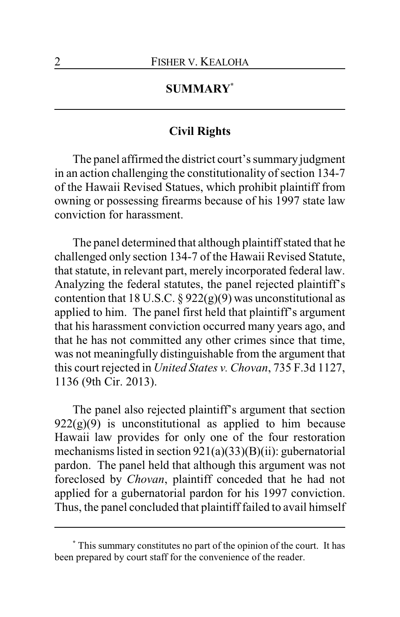## **SUMMARY\***

## **Civil Rights**

The panel affirmed the district court's summary judgment in an action challenging the constitutionality of section 134-7 of the Hawaii Revised Statues, which prohibit plaintiff from owning or possessing firearms because of his 1997 state law conviction for harassment.

The panel determined that although plaintiff stated that he challenged only section 134-7 of the Hawaii Revised Statute, that statute, in relevant part, merely incorporated federal law. Analyzing the federal statutes, the panel rejected plaintiff's contention that 18 U.S.C.  $\S 922(g)(9)$  was unconstitutional as applied to him. The panel first held that plaintiff's argument that his harassment conviction occurred many years ago, and that he has not committed any other crimes since that time, was not meaningfully distinguishable from the argument that this court rejected in *United States v. Chovan*, 735 F.3d 1127, 1136 (9th Cir. 2013).

The panel also rejected plaintiff's argument that section  $922(g)(9)$  is unconstitutional as applied to him because Hawaii law provides for only one of the four restoration mechanisms listed in section 921(a)(33)(B)(ii): gubernatorial pardon. The panel held that although this argument was not foreclosed by *Chovan*, plaintiff conceded that he had not applied for a gubernatorial pardon for his 1997 conviction. Thus, the panel concluded that plaintiff failed to avail himself

**<sup>\*</sup>** This summary constitutes no part of the opinion of the court. It has been prepared by court staff for the convenience of the reader.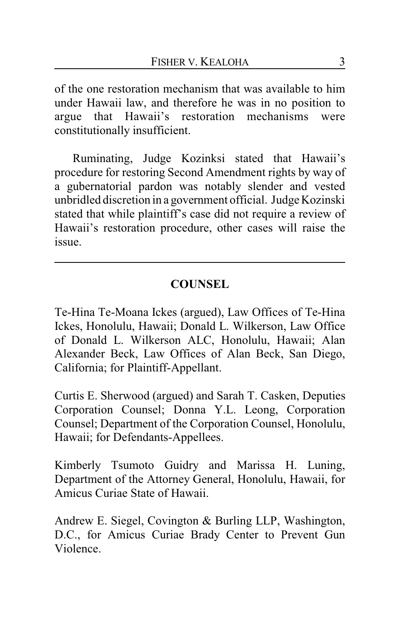of the one restoration mechanism that was available to him under Hawaii law, and therefore he was in no position to argue that Hawaii's restoration mechanisms were constitutionally insufficient.

Ruminating, Judge Kozinksi stated that Hawaii's procedure for restoring Second Amendment rights by way of a gubernatorial pardon was notably slender and vested unbridled discretion in a government official. Judge Kozinski stated that while plaintiff's case did not require a review of Hawaii's restoration procedure, other cases will raise the issue.

# **COUNSEL**

Te-Hina Te-Moana Ickes (argued), Law Offices of Te-Hina Ickes, Honolulu, Hawaii; Donald L. Wilkerson, Law Office of Donald L. Wilkerson ALC, Honolulu, Hawaii; Alan Alexander Beck, Law Offices of Alan Beck, San Diego, California; for Plaintiff-Appellant.

Curtis E. Sherwood (argued) and Sarah T. Casken, Deputies Corporation Counsel; Donna Y.L. Leong, Corporation Counsel; Department of the Corporation Counsel, Honolulu, Hawaii; for Defendants-Appellees.

Kimberly Tsumoto Guidry and Marissa H. Luning, Department of the Attorney General, Honolulu, Hawaii, for Amicus Curiae State of Hawaii.

Andrew E. Siegel, Covington & Burling LLP, Washington, D.C., for Amicus Curiae Brady Center to Prevent Gun Violence.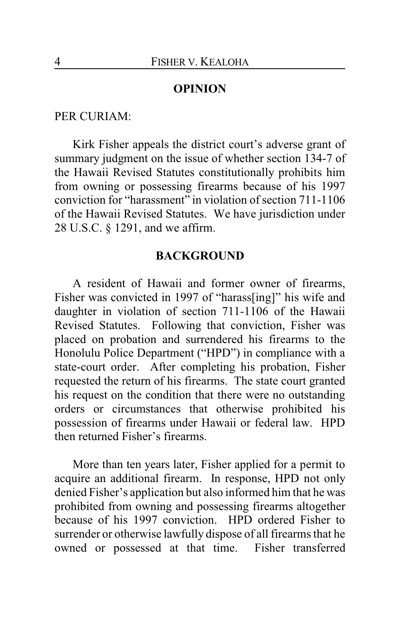#### **OPINION**

#### PER CURIAM:

Kirk Fisher appeals the district court's adverse grant of summary judgment on the issue of whether section 134-7 of the Hawaii Revised Statutes constitutionally prohibits him from owning or possessing firearms because of his 1997 conviction for "harassment" in violation of section 711-1106 of the Hawaii Revised Statutes. We have jurisdiction under 28 U.S.C. § 1291, and we affirm.

#### **BACKGROUND**

A resident of Hawaii and former owner of firearms, Fisher was convicted in 1997 of "harass[ing]" his wife and daughter in violation of section 711-1106 of the Hawaii Revised Statutes. Following that conviction, Fisher was placed on probation and surrendered his firearms to the Honolulu Police Department ("HPD") in compliance with a state-court order. After completing his probation, Fisher requested the return of his firearms. The state court granted his request on the condition that there were no outstanding orders or circumstances that otherwise prohibited his possession of firearms under Hawaii or federal law. HPD then returned Fisher's firearms.

More than ten years later, Fisher applied for a permit to acquire an additional firearm. In response, HPD not only denied Fisher's application but also informed him that he was prohibited from owning and possessing firearms altogether because of his 1997 conviction. HPD ordered Fisher to surrender or otherwise lawfully dispose of all firearms that he owned or possessed at that time. Fisher transferred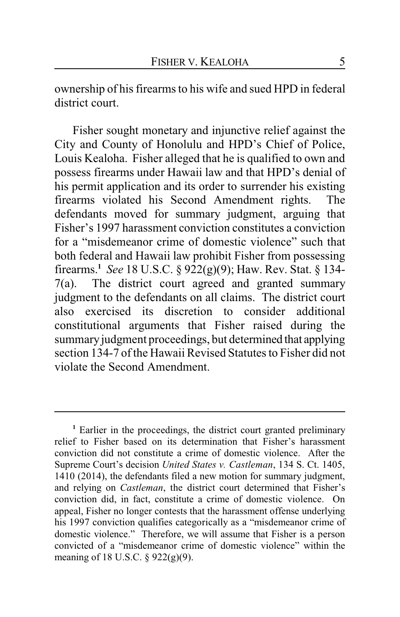ownership of his firearms to his wife and sued HPD in federal district court.

Fisher sought monetary and injunctive relief against the City and County of Honolulu and HPD's Chief of Police, Louis Kealoha. Fisher alleged that he is qualified to own and possess firearms under Hawaii law and that HPD's denial of his permit application and its order to surrender his existing firearms violated his Second Amendment rights. The defendants moved for summary judgment, arguing that Fisher's 1997 harassment conviction constitutes a conviction for a "misdemeanor crime of domestic violence" such that both federal and Hawaii law prohibit Fisher from possessing firearms.**<sup>1</sup>** *See* 18 U.S.C. § 922(g)(9); Haw. Rev. Stat. § 134- 7(a). The district court agreed and granted summary judgment to the defendants on all claims. The district court also exercised its discretion to consider additional constitutional arguments that Fisher raised during the summary judgment proceedings, but determined that applying section 134-7 of the Hawaii Revised Statutes to Fisher did not violate the Second Amendment.

**<sup>1</sup>** Earlier in the proceedings, the district court granted preliminary relief to Fisher based on its determination that Fisher's harassment conviction did not constitute a crime of domestic violence. After the Supreme Court's decision *United States v. Castleman*, 134 S. Ct. 1405, 1410 (2014), the defendants filed a new motion for summary judgment, and relying on *Castleman*, the district court determined that Fisher's conviction did, in fact, constitute a crime of domestic violence. On appeal, Fisher no longer contests that the harassment offense underlying his 1997 conviction qualifies categorically as a "misdemeanor crime of domestic violence." Therefore, we will assume that Fisher is a person convicted of a "misdemeanor crime of domestic violence" within the meaning of 18 U.S.C. § 922(g)(9).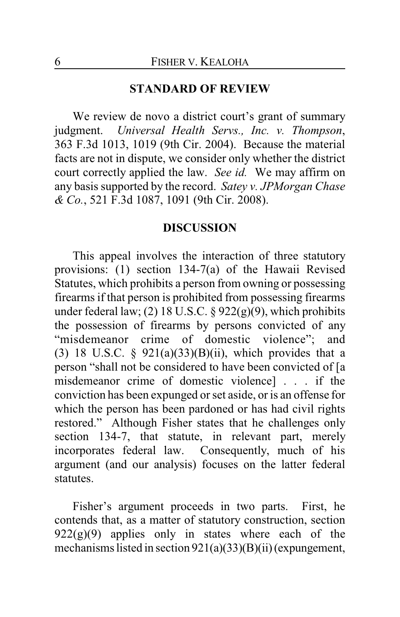#### **STANDARD OF REVIEW**

We review de novo a district court's grant of summary judgment. *Universal Health Servs., Inc. v. Thompson*, 363 F.3d 1013, 1019 (9th Cir. 2004). Because the material facts are not in dispute, we consider only whether the district court correctly applied the law. *See id.* We may affirm on any basis supported by the record. *Satey v. JPMorgan Chase & Co.*, 521 F.3d 1087, 1091 (9th Cir. 2008).

#### **DISCUSSION**

This appeal involves the interaction of three statutory provisions: (1) section 134-7(a) of the Hawaii Revised Statutes, which prohibits a person from owning or possessing firearms if that person is prohibited from possessing firearms under federal law; (2) 18 U.S.C.  $\S 922(g)(9)$ , which prohibits the possession of firearms by persons convicted of any "misdemeanor crime of domestic violence"; and (3) 18 U.S.C. §  $921(a)(33)(B)(ii)$ , which provides that a person "shall not be considered to have been convicted of [a misdemeanor crime of domestic violence] . . . if the conviction has been expunged or set aside, or is an offense for which the person has been pardoned or has had civil rights restored." Although Fisher states that he challenges only section 134-7, that statute, in relevant part, merely incorporates federal law. Consequently, much of his argument (and our analysis) focuses on the latter federal statutes.

Fisher's argument proceeds in two parts. First, he contends that, as a matter of statutory construction, section  $922(g)(9)$  applies only in states where each of the mechanisms listed in section 921(a)(33)(B)(ii)(expungement,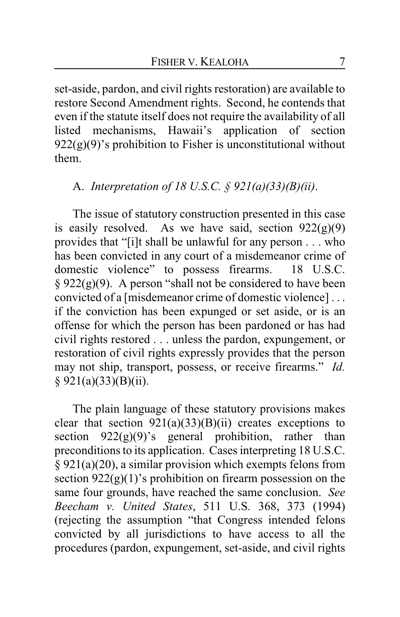set-aside, pardon, and civil rights restoration) are available to restore Second Amendment rights. Second, he contends that even if the statute itself does not require the availability of all listed mechanisms, Hawaii's application of section  $922(g)(9)$ 's prohibition to Fisher is unconstitutional without them.

## A. *Interpretation of 18 U.S.C. § 921(a)(33)(B)(ii)*.

The issue of statutory construction presented in this case is easily resolved. As we have said, section  $922(g)(9)$ provides that "[i]t shall be unlawful for any person . . . who has been convicted in any court of a misdemeanor crime of domestic violence" to possess firearms. 18 U.S.C.  $§ 922(g)(9)$ . A person "shall not be considered to have been convicted of a [misdemeanor crime of domestic violence] . . . if the conviction has been expunged or set aside, or is an offense for which the person has been pardoned or has had civil rights restored . . . unless the pardon, expungement, or restoration of civil rights expressly provides that the person may not ship, transport, possess, or receive firearms." *Id.*  $§ 921(a)(33)(B)(ii).$ 

The plain language of these statutory provisions makes clear that section  $921(a)(33)(B)(ii)$  creates exceptions to section  $922(g)(9)$ 's general prohibition, rather than preconditions to its application. Cases interpreting 18 U.S.C. § 921(a)(20), a similar provision which exempts felons from section  $922(g)(1)$ 's prohibition on firearm possession on the same four grounds, have reached the same conclusion. *See Beecham v. United States*, 511 U.S. 368, 373 (1994) (rejecting the assumption "that Congress intended felons convicted by all jurisdictions to have access to all the procedures (pardon, expungement, set-aside, and civil rights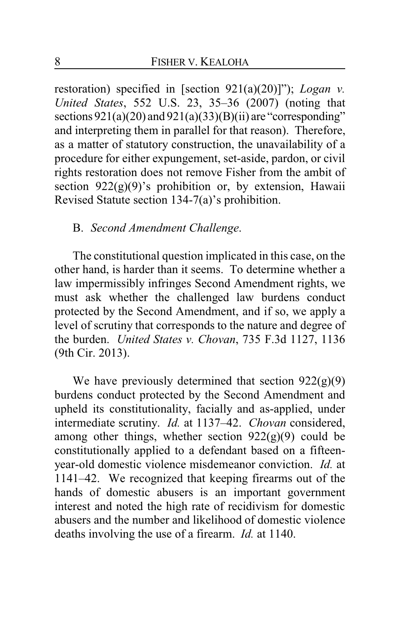restoration) specified in [section 921(a)(20)]"); *Logan v. United States*, 552 U.S. 23, 35–36 (2007) (noting that sections  $921(a)(20)$  and  $921(a)(33)(B)(ii)$  are "corresponding" and interpreting them in parallel for that reason). Therefore, as a matter of statutory construction, the unavailability of a procedure for either expungement, set-aside, pardon, or civil rights restoration does not remove Fisher from the ambit of section  $922(g)(9)$ 's prohibition or, by extension, Hawaii Revised Statute section 134-7(a)'s prohibition.

#### B. *Second Amendment Challenge*.

The constitutional question implicated in this case, on the other hand, is harder than it seems. To determine whether a law impermissibly infringes Second Amendment rights, we must ask whether the challenged law burdens conduct protected by the Second Amendment, and if so, we apply a level of scrutiny that corresponds to the nature and degree of the burden. *United States v. Chovan*, 735 F.3d 1127, 1136 (9th Cir. 2013).

We have previously determined that section  $922(g)(9)$ burdens conduct protected by the Second Amendment and upheld its constitutionality, facially and as-applied, under intermediate scrutiny. *Id.* at 1137–42. *Chovan* considered, among other things, whether section  $922(g)(9)$  could be constitutionally applied to a defendant based on a fifteenyear-old domestic violence misdemeanor conviction. *Id.* at 1141–42. We recognized that keeping firearms out of the hands of domestic abusers is an important government interest and noted the high rate of recidivism for domestic abusers and the number and likelihood of domestic violence deaths involving the use of a firearm. *Id.* at 1140.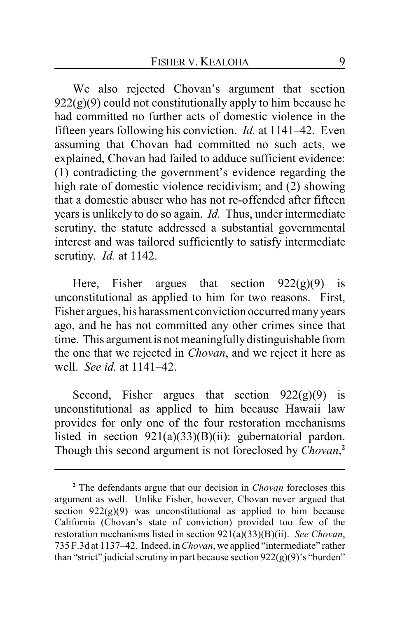We also rejected Chovan's argument that section  $922(g)(9)$  could not constitutionally apply to him because he had committed no further acts of domestic violence in the fifteen years following his conviction. *Id.* at 1141–42. Even assuming that Chovan had committed no such acts, we explained, Chovan had failed to adduce sufficient evidence: (1) contradicting the government's evidence regarding the high rate of domestic violence recidivism; and (2) showing that a domestic abuser who has not re-offended after fifteen years is unlikely to do so again. *Id.* Thus, under intermediate scrutiny, the statute addressed a substantial governmental interest and was tailored sufficiently to satisfy intermediate scrutiny. *Id.* at 1142.

Here, Fisher argues that section  $922(g)(9)$  is unconstitutional as applied to him for two reasons. First, Fisher argues, his harassment conviction occurred manyyears ago, and he has not committed any other crimes since that time. This argument is not meaningfully distinguishable from the one that we rejected in *Chovan*, and we reject it here as well. *See id.* at 1141–42.

Second, Fisher argues that section  $922(g)(9)$  is unconstitutional as applied to him because Hawaii law provides for only one of the four restoration mechanisms listed in section 921(a)(33)(B)(ii): gubernatorial pardon. Though this second argument is not foreclosed by *Chovan*, **2**

**<sup>2</sup>** The defendants argue that our decision in *Chovan* forecloses this argument as well. Unlike Fisher, however, Chovan never argued that section  $922(g)(9)$  was unconstitutional as applied to him because California (Chovan's state of conviction) provided too few of the restoration mechanisms listed in section 921(a)(33)(B)(ii). *See Chovan*, 735 F.3d at 1137–42. Indeed, in*Chovan*, we applied "intermediate" rather than "strict" judicial scrutiny in part because section  $922(g)(9)$ 's "burden"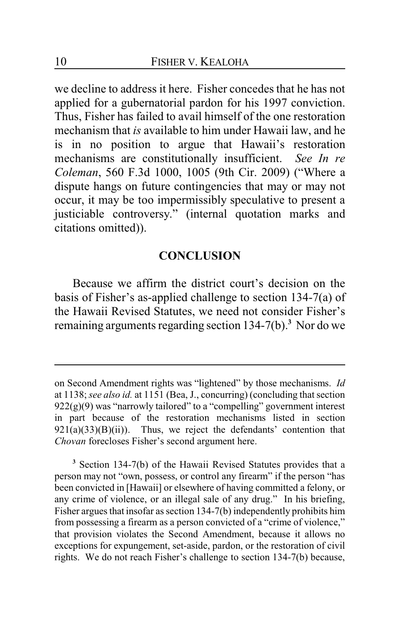we decline to address it here. Fisher concedes that he has not applied for a gubernatorial pardon for his 1997 conviction. Thus, Fisher has failed to avail himself of the one restoration mechanism that *is* available to him under Hawaii law, and he is in no position to argue that Hawaii's restoration mechanisms are constitutionally insufficient. *See In re Coleman*, 560 F.3d 1000, 1005 (9th Cir. 2009) ("Where a dispute hangs on future contingencies that may or may not occur, it may be too impermissibly speculative to present a justiciable controversy." (internal quotation marks and citations omitted)).

### **CONCLUSION**

Because we affirm the district court's decision on the basis of Fisher's as-applied challenge to section 134-7(a) of the Hawaii Revised Statutes, we need not consider Fisher's remaining arguments regarding section 134-7(b).**<sup>3</sup>** Nor do we

**<sup>3</sup>** Section 134-7(b) of the Hawaii Revised Statutes provides that a person may not "own, possess, or control any firearm" if the person "has been convicted in [Hawaii] or elsewhere of having committed a felony, or any crime of violence, or an illegal sale of any drug." In his briefing, Fisher argues that insofar as section 134-7(b) independently prohibits him from possessing a firearm as a person convicted of a "crime of violence," that provision violates the Second Amendment, because it allows no exceptions for expungement, set-aside, pardon, or the restoration of civil rights. We do not reach Fisher's challenge to section 134-7(b) because,

on Second Amendment rights was "lightened" by those mechanisms. *Id* at 1138; *see also id.* at 1151 (Bea, J., concurring) (concluding that section  $922(g)(9)$  was "narrowly tailored" to a "compelling" government interest in part because of the restoration mechanisms listed in section  $921(a)(33)(B)(ii)$ ). Thus, we reject the defendants' contention that *Chovan* forecloses Fisher's second argument here.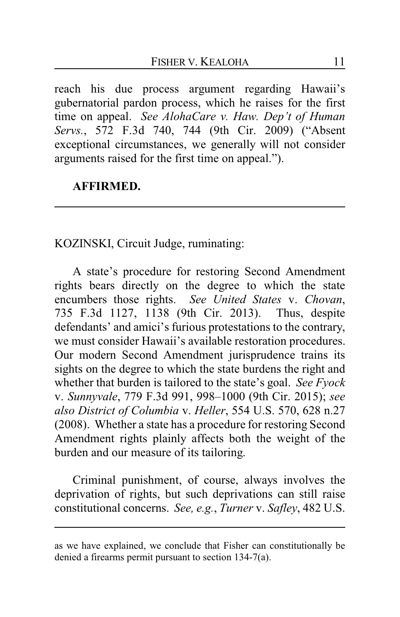reach his due process argument regarding Hawaii's gubernatorial pardon process, which he raises for the first time on appeal. *See AlohaCare v. Haw. Dep't of Human Servs.*, 572 F.3d 740, 744 (9th Cir. 2009) ("Absent exceptional circumstances, we generally will not consider arguments raised for the first time on appeal.").

## **AFFIRMED.**

KOZINSKI, Circuit Judge, ruminating:

A state's procedure for restoring Second Amendment rights bears directly on the degree to which the state encumbers those rights. *See United States* v. *Chovan*, 735 F.3d 1127, 1138 (9th Cir. 2013). Thus, despite defendants' and amici's furious protestations to the contrary, we must consider Hawaii's available restoration procedures. Our modern Second Amendment jurisprudence trains its sights on the degree to which the state burdens the right and whether that burden is tailored to the state's goal. *See Fyock* v. *Sunnyvale*, 779 F.3d 991, 998–1000 (9th Cir. 2015); *see also District of Columbia* v. *Heller*, 554 U.S. 570, 628 n.27 (2008). Whether a state has a procedure for restoring Second Amendment rights plainly affects both the weight of the burden and our measure of its tailoring.

Criminal punishment, of course, always involves the deprivation of rights, but such deprivations can still raise constitutional concerns. *See, e.g.*, *Turner* v. *Safley*, 482 U.S.

as we have explained, we conclude that Fisher can constitutionally be denied a firearms permit pursuant to section 134-7(a).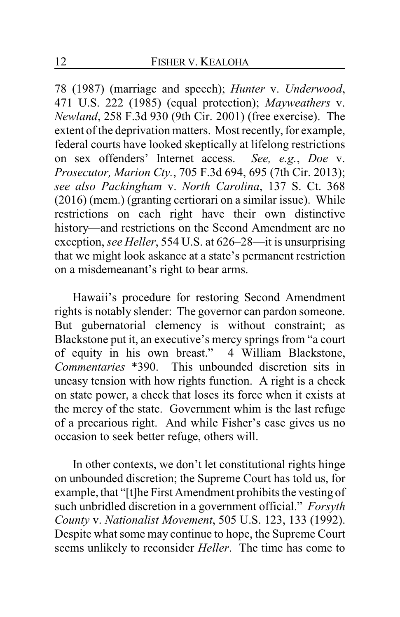78 (1987) (marriage and speech); *Hunter* v. *Underwood*, 471 U.S. 222 (1985) (equal protection); *Mayweathers* v. *Newland*, 258 F.3d 930 (9th Cir. 2001) (free exercise). The extent of the deprivation matters. Most recently, for example, federal courts have looked skeptically at lifelong restrictions on sex offenders' Internet access. *See, e.g.*, *Doe* v. *Prosecutor, Marion Cty.*, 705 F.3d 694, 695 (7th Cir. 2013); *see also Packingham* v. *North Carolina*, 137 S. Ct. 368 (2016) (mem.) (granting certiorari on a similar issue). While restrictions on each right have their own distinctive history—and restrictions on the Second Amendment are no exception, *see Heller*, 554 U.S. at 626–28—it is unsurprising that we might look askance at a state's permanent restriction on a misdemeanant's right to bear arms.

Hawaii's procedure for restoring Second Amendment rights is notably slender: The governor can pardon someone. But gubernatorial clemency is without constraint; as Blackstone put it, an executive's mercy springs from "a court of equity in his own breast." 4 William Blackstone, *Commentaries* \*390. This unbounded discretion sits in uneasy tension with how rights function. A right is a check on state power, a check that loses its force when it exists at the mercy of the state. Government whim is the last refuge of a precarious right. And while Fisher's case gives us no occasion to seek better refuge, others will.

In other contexts, we don't let constitutional rights hinge on unbounded discretion; the Supreme Court has told us, for example, that "[t]he First Amendment prohibits the vesting of such unbridled discretion in a government official." *Forsyth County* v. *Nationalist Movement*, 505 U.S. 123, 133 (1992). Despite what some may continue to hope, the Supreme Court seems unlikely to reconsider *Heller*. The time has come to